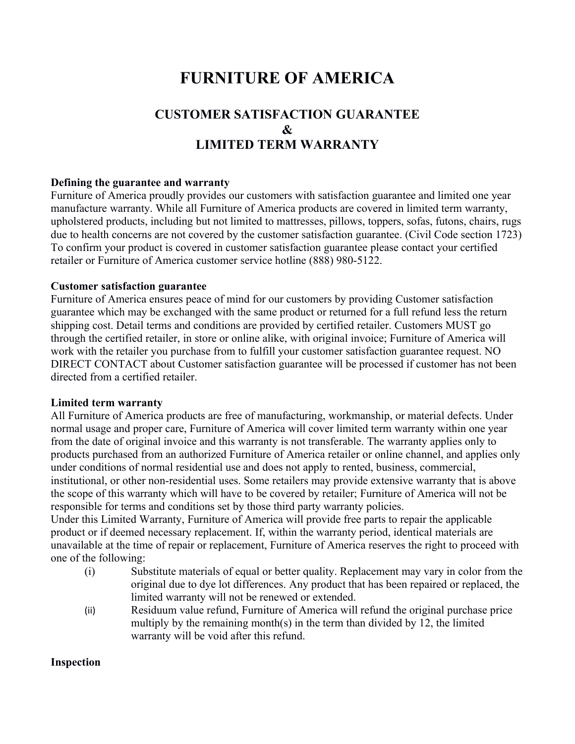# **FURNITURE OF AMERICA**

# **CUSTOMER SATISFACTION GUARANTEE & LIMITED TERM WARRANTY**

#### **Defining the guarantee and warranty**

Furniture of America proudly provides our customers with satisfaction guarantee and limited one year manufacture warranty. While all Furniture of America products are covered in limited term warranty, upholstered products, including but not limited to mattresses, pillows, toppers, sofas, futons, chairs, rugs due to health concerns are not covered by the customer satisfaction guarantee. (Civil Code section 1723) To confirm your product is covered in customer satisfaction guarantee please contact your certified retailer or Furniture of America customer service hotline (888) 980-5122.

#### **Customer satisfaction guarantee**

Furniture of America ensures peace of mind for our customers by providing Customer satisfaction guarantee which may be exchanged with the same product or returned for a full refund less the return shipping cost. Detail terms and conditions are provided by certified retailer. Customers MUST go through the certified retailer, in store or online alike, with original invoice; Furniture of America will work with the retailer you purchase from to fulfill your customer satisfaction guarantee request. NO DIRECT CONTACT about Customer satisfaction guarantee will be processed if customer has not been directed from a certified retailer.

#### **Limited term warranty**

All Furniture of America products are free of manufacturing, workmanship, or material defects. Under normal usage and proper care, Furniture of America will cover limited term warranty within one year from the date of original invoice and this warranty is not transferable. The warranty applies only to products purchased from an authorized Furniture of America retailer or online channel, and applies only under conditions of normal residential use and does not apply to rented, business, commercial, institutional, or other non-residential uses. Some retailers may provide extensive warranty that is above the scope of this warranty which will have to be covered by retailer; Furniture of America will not be responsible for terms and conditions set by those third party warranty policies.

Under this Limited Warranty, Furniture of America will provide free parts to repair the applicable product or if deemed necessary replacement. If, within the warranty period, identical materials are unavailable at the time of repair or replacement, Furniture of America reserves the right to proceed with one of the following:

- (i) Substitute materials of equal or better quality. Replacement may vary in color from the original due to dye lot differences. Any product that has been repaired or replaced, the limited warranty will not be renewed or extended.
- (ii) Residuum value refund, Furniture of America will refund the original purchase price multiply by the remaining month(s) in the term than divided by 12, the limited warranty will be void after this refund.

#### **Inspection**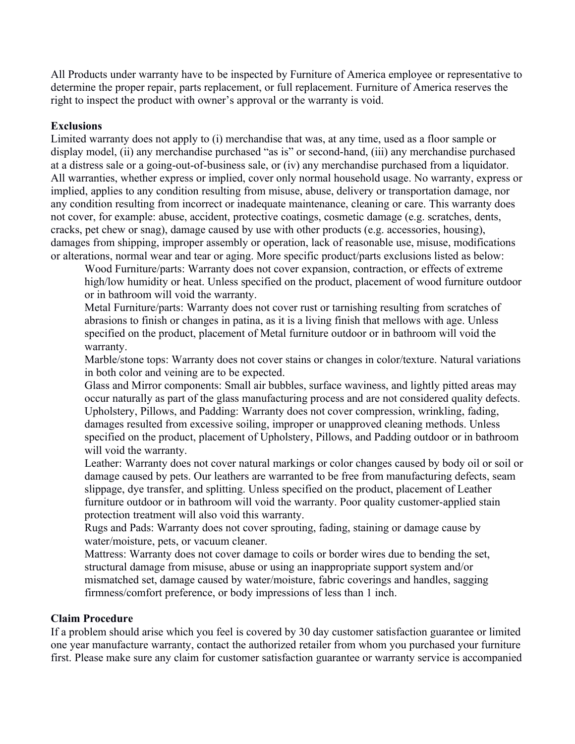All Products under warranty have to be inspected by Furniture of America employee or representative to determine the proper repair, parts replacement, or full replacement. Furniture of America reserves the right to inspect the product with owner's approval or the warranty is void.

#### **Exclusions**

Limited warranty does not apply to (i) merchandise that was, at any time, used as a floor sample or display model, (ii) any merchandise purchased "as is" or second-hand, (iii) any merchandise purchased at a distress sale or a going-out-of-business sale, or (iv) any merchandise purchased from a liquidator. All warranties, whether express or implied, cover only normal household usage. No warranty, express or implied, applies to any condition resulting from misuse, abuse, delivery or transportation damage, nor any condition resulting from incorrect or inadequate maintenance, cleaning or care. This warranty does not cover, for example: abuse, accident, protective coatings, cosmetic damage (e.g. scratches, dents, cracks, pet chew or snag), damage caused by use with other products (e.g. accessories, housing), damages from shipping, improper assembly or operation, lack of reasonable use, misuse, modifications or alterations, normal wear and tear or aging. More specific product/parts exclusions listed as below:

Wood Furniture/parts: Warranty does not cover expansion, contraction, or effects of extreme high/low humidity or heat. Unless specified on the product, placement of wood furniture outdoor or in bathroom will void the warranty.

Metal Furniture/parts: Warranty does not cover rust or tarnishing resulting from scratches of abrasions to finish or changes in patina, as it is a living finish that mellows with age. Unless specified on the product, placement of Metal furniture outdoor or in bathroom will void the warranty.

Marble/stone tops: Warranty does not cover stains or changes in color/texture. Natural variations in both color and veining are to be expected.

Glass and Mirror components: Small air bubbles, surface waviness, and lightly pitted areas may occur naturally as part of the glass manufacturing process and are not considered quality defects. Upholstery, Pillows, and Padding: Warranty does not cover compression, wrinkling, fading, damages resulted from excessive soiling, improper or unapproved cleaning methods. Unless specified on the product, placement of Upholstery, Pillows, and Padding outdoor or in bathroom will void the warranty.

Leather: Warranty does not cover natural markings or color changes caused by body oil or soil or damage caused by pets. Our leathers are warranted to be free from manufacturing defects, seam slippage, dye transfer, and splitting. Unless specified on the product, placement of Leather furniture outdoor or in bathroom will void the warranty. Poor quality customer-applied stain protection treatment will also void this warranty.

Rugs and Pads: Warranty does not cover sprouting, fading, staining or damage cause by water/moisture, pets, or vacuum cleaner.

Mattress: Warranty does not cover damage to coils or border wires due to bending the set, structural damage from misuse, abuse or using an inappropriate support system and/or mismatched set, damage caused by water/moisture, fabric coverings and handles, sagging firmness/comfort preference, or body impressions of less than 1 inch.

#### **Claim Procedure**

If a problem should arise which you feel is covered by 30 day customer satisfaction guarantee or limited one year manufacture warranty, contact the authorized retailer from whom you purchased your furniture first. Please make sure any claim for customer satisfaction guarantee or warranty service is accompanied